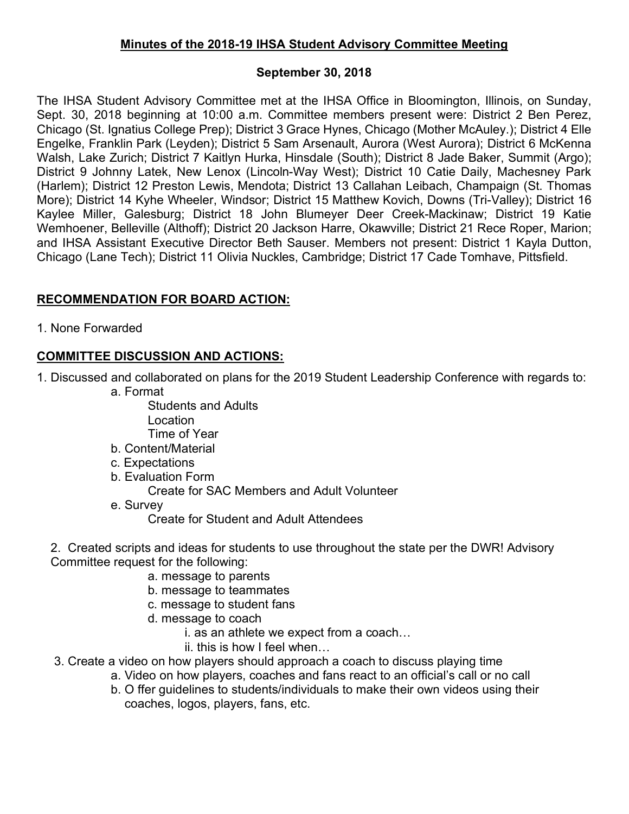## **Minutes of the 2018-19 IHSA Student Advisory Committee Meeting**

## **September 30, 2018**

The IHSA Student Advisory Committee met at the IHSA Office in Bloomington, Illinois, on Sunday, Sept. 30, 2018 beginning at 10:00 a.m. Committee members present were: District 2 Ben Perez, Chicago (St. Ignatius College Prep); District 3 Grace Hynes, Chicago (Mother McAuley.); District 4 Elle Engelke, Franklin Park (Leyden); District 5 Sam Arsenault, Aurora (West Aurora); District 6 McKenna Walsh, Lake Zurich; District 7 Kaitlyn Hurka, Hinsdale (South); District 8 Jade Baker, Summit (Argo); District 9 Johnny Latek, New Lenox (Lincoln-Way West); District 10 Catie Daily, Machesney Park (Harlem); District 12 Preston Lewis, Mendota; District 13 Callahan Leibach, Champaign (St. Thomas More); District 14 Kyhe Wheeler, Windsor; District 15 Matthew Kovich, Downs (Tri-Valley); District 16 Kaylee Miller, Galesburg; District 18 John Blumeyer Deer Creek-Mackinaw; District 19 Katie Wemhoener, Belleville (Althoff); District 20 Jackson Harre, Okawville; District 21 Rece Roper, Marion; and IHSA Assistant Executive Director Beth Sauser. Members not present: District 1 Kayla Dutton, Chicago (Lane Tech); District 11 Olivia Nuckles, Cambridge; District 17 Cade Tomhave, Pittsfield.

## **RECOMMENDATION FOR BOARD ACTION:**

1. None Forwarded

## **COMMITTEE DISCUSSION AND ACTIONS:**

- 1. Discussed and collaborated on plans for the 2019 Student Leadership Conference with regards to:
	- a. Format
		- Students and Adults Location Time of Year
	- b. Content/Material
	- c. Expectations
	- b. Evaluation Form

Create for SAC Members and Adult Volunteer

e. Survey

Create for Student and Adult Attendees

- 2. Created scripts and ideas for students to use throughout the state per the DWR! Advisory Committee request for the following:
	- a. message to parents
	- b. message to teammates
	- c. message to student fans
	- d. message to coach
		- i. as an athlete we expect from a coach…
		- ii. this is how I feel when…
- 3. Create a video on how players should approach a coach to discuss playing time
	- a. Video on how players, coaches and fans react to an official's call or no call
	- b. O ffer guidelines to students/individuals to make their own videos using their coaches, logos, players, fans, etc.